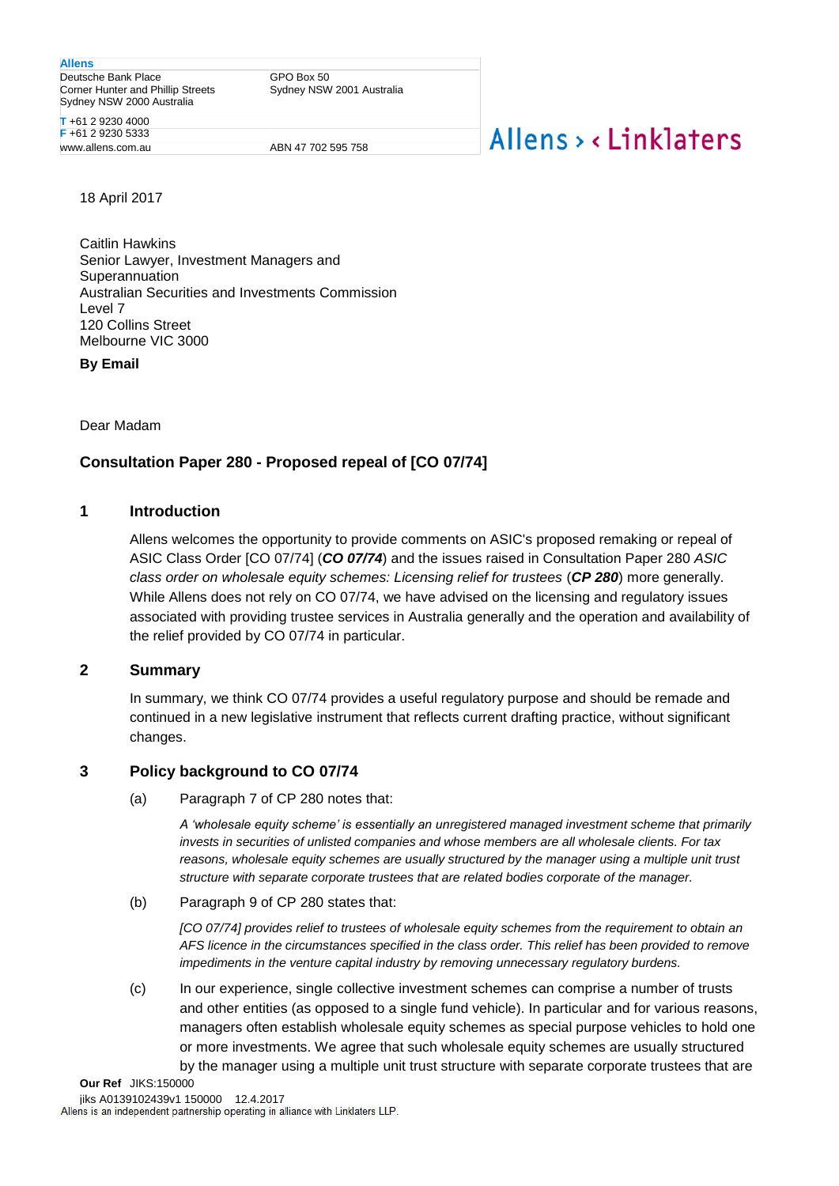**Allens**

Deutsche Bank Place Corner Hunter and Phillip Streets Sydney NSW 2000 Australia

GPO Box 50 Sydney NSW 2001 Australia

**T** +61 2 9230 4000 **F** +61 2 9230 5333

ABN 47 702 595 758

# Allens > <linklaters

18 April 2017

Caitlin Hawkins Senior Lawyer, Investment Managers and Superannuation Australian Securities and Investments Commission Level 7 120 Collins Street Melbourne VIC 3000

**By Email**

Dear Madam

### **Consultation Paper 280 - Proposed repeal of [CO 07/74]**

#### **1 Introduction**

Allens welcomes the opportunity to provide comments on ASIC's proposed remaking or repeal of ASIC Class Order [CO 07/74] (*CO 07/74*) and the issues raised in Consultation Paper 280 *ASIC class order on wholesale equity schemes: Licensing relief for trustees* (*CP 280*) more generally. While Allens does not rely on CO 07/74, we have advised on the licensing and regulatory issues associated with providing trustee services in Australia generally and the operation and availability of the relief provided by CO 07/74 in particular.

### **2 Summary**

In summary, we think CO 07/74 provides a useful regulatory purpose and should be remade and continued in a new legislative instrument that reflects current drafting practice, without significant changes.

### **3 Policy background to CO 07/74**

(a) Paragraph 7 of CP 280 notes that:

*A 'wholesale equity scheme' is essentially an unregistered managed investment scheme that primarily invests in securities of unlisted companies and whose members are all wholesale clients. For tax reasons, wholesale equity schemes are usually structured by the manager using a multiple unit trust structure with separate corporate trustees that are related bodies corporate of the manager.*

(b) Paragraph 9 of CP 280 states that:

*[CO 07/74] provides relief to trustees of wholesale equity schemes from the requirement to obtain an AFS licence in the circumstances specified in the class order. This relief has been provided to remove impediments in the venture capital industry by removing unnecessary regulatory burdens.* 

(c) In our experience, single collective investment schemes can comprise a number of trusts and other entities (as opposed to a single fund vehicle). In particular and for various reasons, managers often establish wholesale equity schemes as special purpose vehicles to hold one or more investments. We agree that such wholesale equity schemes are usually structured by the manager using a multiple unit trust structure with separate corporate trustees that are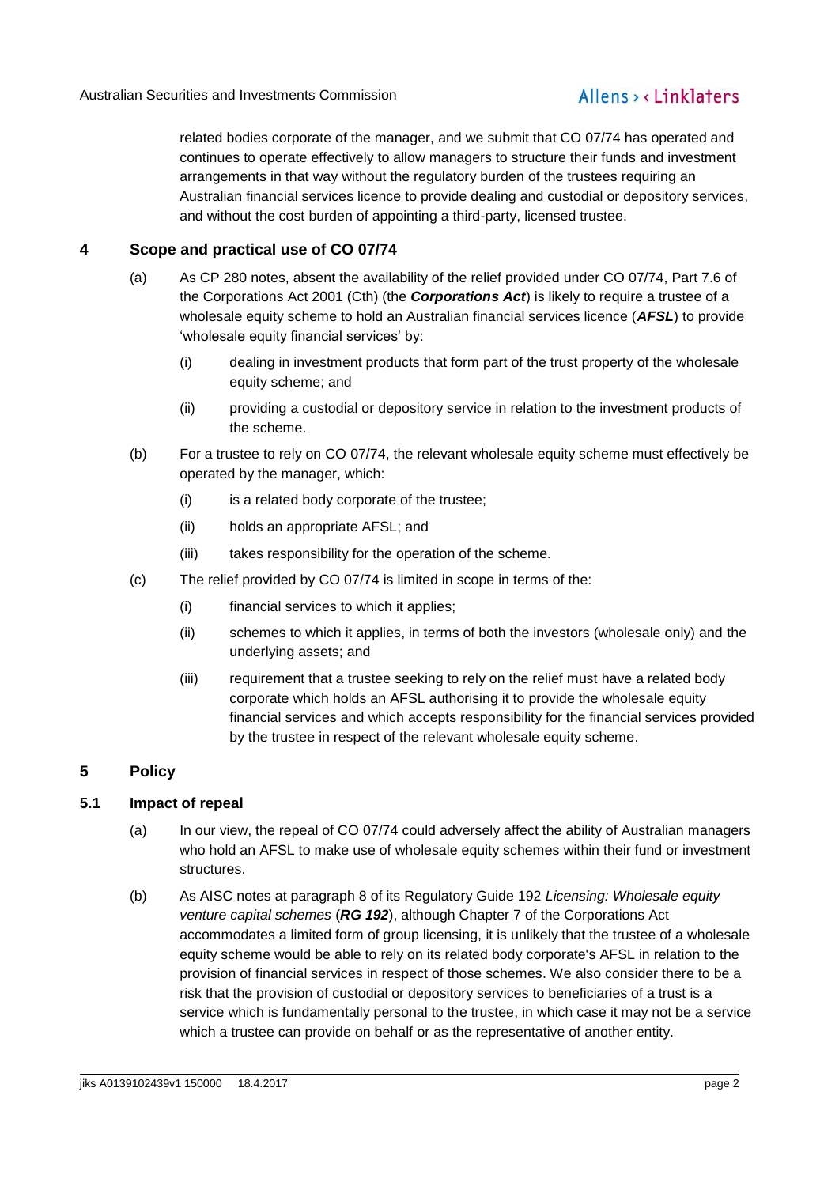related bodies corporate of the manager, and we submit that CO 07/74 has operated and continues to operate effectively to allow managers to structure their funds and investment arrangements in that way without the regulatory burden of the trustees requiring an Australian financial services licence to provide dealing and custodial or depository services, and without the cost burden of appointing a third-party, licensed trustee.

### **4 Scope and practical use of CO 07/74**

- (a) As CP 280 notes, absent the availability of the relief provided under CO 07/74, Part 7.6 of the Corporations Act 2001 (Cth) (the *Corporations Act*) is likely to require a trustee of a wholesale equity scheme to hold an Australian financial services licence (*AFSL*) to provide 'wholesale equity financial services' by:
	- (i) dealing in investment products that form part of the trust property of the wholesale equity scheme; and
	- (ii) providing a custodial or depository service in relation to the investment products of the scheme.
- (b) For a trustee to rely on CO 07/74, the relevant wholesale equity scheme must effectively be operated by the manager, which:
	- (i) is a related body corporate of the trustee;
	- (ii) holds an appropriate AFSL; and
	- (iii) takes responsibility for the operation of the scheme.
- (c) The relief provided by CO 07/74 is limited in scope in terms of the:
	- (i) financial services to which it applies;
	- (ii) schemes to which it applies, in terms of both the investors (wholesale only) and the underlying assets; and
	- (iii) requirement that a trustee seeking to rely on the relief must have a related body corporate which holds an AFSL authorising it to provide the wholesale equity financial services and which accepts responsibility for the financial services provided by the trustee in respect of the relevant wholesale equity scheme.

### **5 Policy**

### **5.1 Impact of repeal**

- (a) In our view, the repeal of CO 07/74 could adversely affect the ability of Australian managers who hold an AFSL to make use of wholesale equity schemes within their fund or investment structures.
- (b) As AISC notes at paragraph 8 of its Regulatory Guide 192 *Licensing: Wholesale equity venture capital schemes* (*RG 192*), although Chapter 7 of the Corporations Act accommodates a limited form of group licensing, it is unlikely that the trustee of a wholesale equity scheme would be able to rely on its related body corporate's AFSL in relation to the provision of financial services in respect of those schemes. We also consider there to be a risk that the provision of custodial or depository services to beneficiaries of a trust is a service which is fundamentally personal to the trustee, in which case it may not be a service which a trustee can provide on behalf or as the representative of another entity.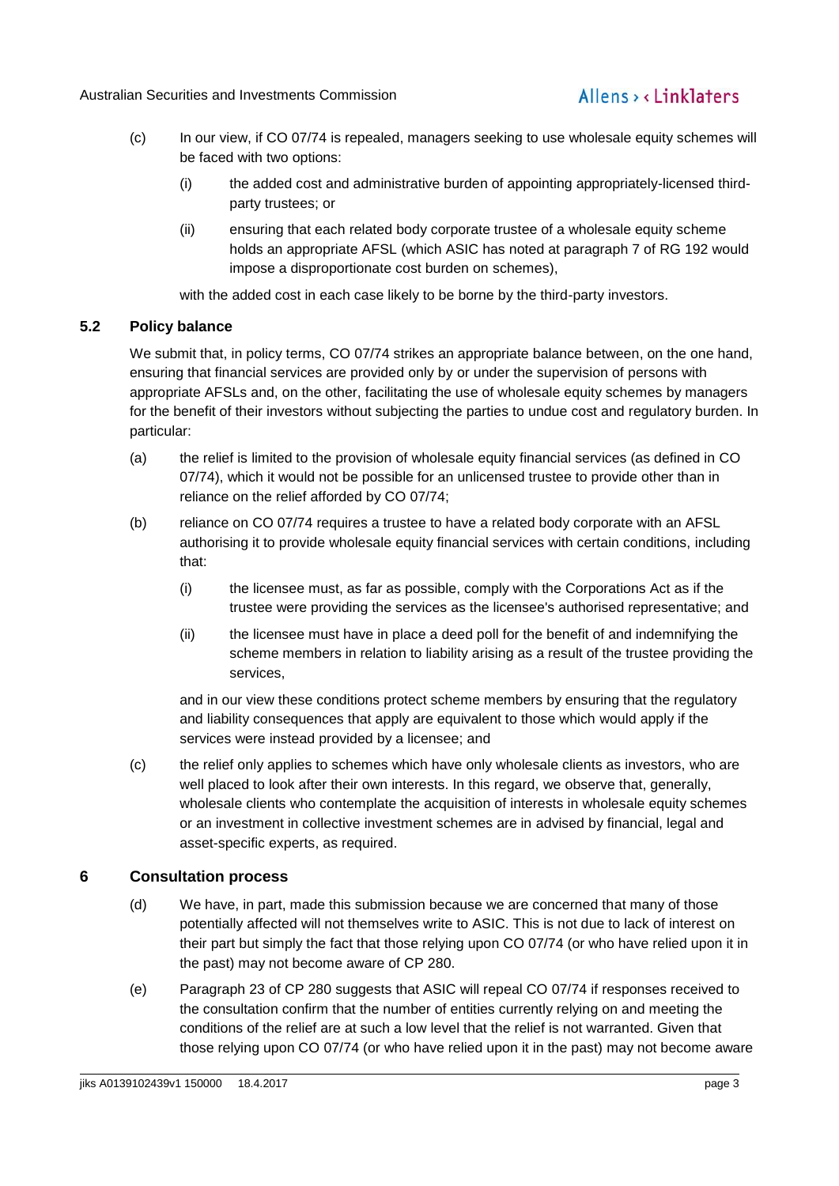## Allens, linklaters

- (c) In our view, if CO 07/74 is repealed, managers seeking to use wholesale equity schemes will be faced with two options:
	- (i) the added cost and administrative burden of appointing appropriately-licensed thirdparty trustees; or
	- (ii) ensuring that each related body corporate trustee of a wholesale equity scheme holds an appropriate AFSL (which ASIC has noted at paragraph 7 of RG 192 would impose a disproportionate cost burden on schemes),

with the added cost in each case likely to be borne by the third-party investors.

### <span id="page-2-0"></span>**5.2 Policy balance**

We submit that, in policy terms, CO 07/74 strikes an appropriate balance between, on the one hand, ensuring that financial services are provided only by or under the supervision of persons with appropriate AFSLs and, on the other, facilitating the use of wholesale equity schemes by managers for the benefit of their investors without subjecting the parties to undue cost and regulatory burden. In particular:

- (a) the relief is limited to the provision of wholesale equity financial services (as defined in CO 07/74), which it would not be possible for an unlicensed trustee to provide other than in reliance on the relief afforded by CO 07/74;
- (b) reliance on CO 07/74 requires a trustee to have a related body corporate with an AFSL authorising it to provide wholesale equity financial services with certain conditions, including that:
	- (i) the licensee must, as far as possible, comply with the Corporations Act as if the trustee were providing the services as the licensee's authorised representative; and
	- (ii) the licensee must have in place a deed poll for the benefit of and indemnifying the scheme members in relation to liability arising as a result of the trustee providing the services,

and in our view these conditions protect scheme members by ensuring that the regulatory and liability consequences that apply are equivalent to those which would apply if the services were instead provided by a licensee; and

(c) the relief only applies to schemes which have only wholesale clients as investors, who are well placed to look after their own interests. In this regard, we observe that, generally, wholesale clients who contemplate the acquisition of interests in wholesale equity schemes or an investment in collective investment schemes are in advised by financial, legal and asset-specific experts, as required.

### **6 Consultation process**

- (d) We have, in part, made this submission because we are concerned that many of those potentially affected will not themselves write to ASIC. This is not due to lack of interest on their part but simply the fact that those relying upon CO 07/74 (or who have relied upon it in the past) may not become aware of CP 280.
- (e) Paragraph 23 of CP 280 suggests that ASIC will repeal CO 07/74 if responses received to the consultation confirm that the number of entities currently relying on and meeting the conditions of the relief are at such a low level that the relief is not warranted. Given that those relying upon CO 07/74 (or who have relied upon it in the past) may not become aware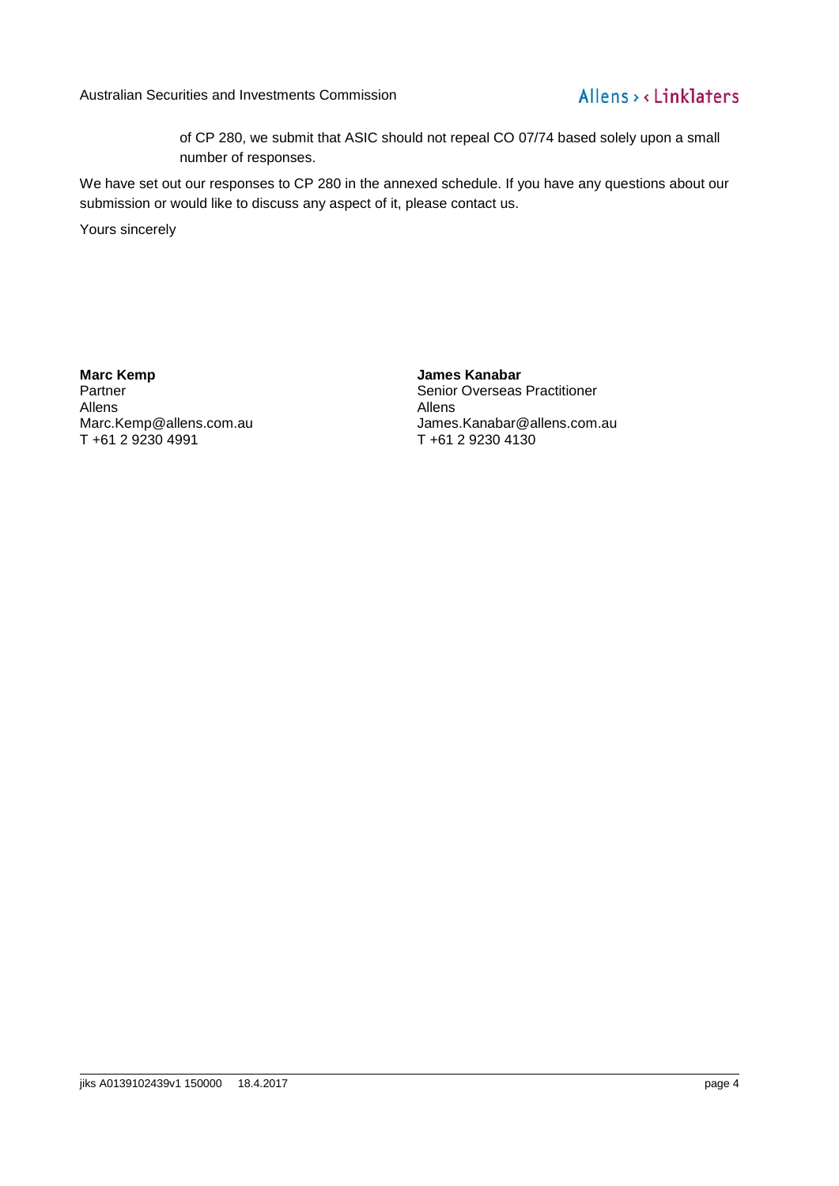Australian Securities and Investments Commission

### Allens > < Linklaters

of CP 280, we submit that ASIC should not repeal CO 07/74 based solely upon a small number of responses.

We have set out our responses to CP 280 in the annexed schedule. If you have any questions about our submission or would like to discuss any aspect of it, please contact us.

Yours sincerely

**Marc Kemp**

Partner Allens Marc.Kemp@allens.com.au T +61 2 9230 4991

**James Kanabar** Senior Overseas Practitioner Allens James.Kanabar@allens.com.au T +61 2 9230 4130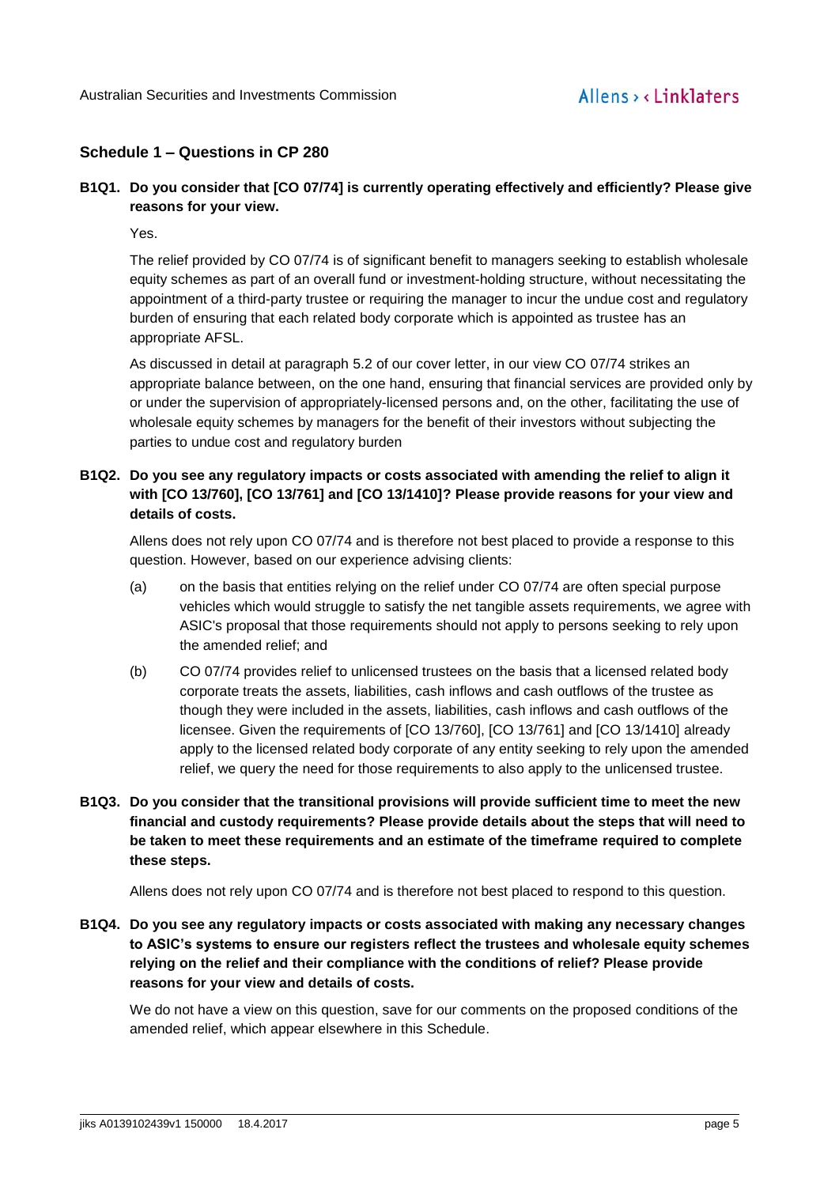### **Schedule 1 – Questions in CP 280**

### **B1Q1. Do you consider that [CO 07/74] is currently operating effectively and efficiently? Please give reasons for your view.**

Yes.

The relief provided by CO 07/74 is of significant benefit to managers seeking to establish wholesale equity schemes as part of an overall fund or investment-holding structure, without necessitating the appointment of a third-party trustee or requiring the manager to incur the undue cost and regulatory burden of ensuring that each related body corporate which is appointed as trustee has an appropriate AFSL.

As discussed in detail at paragraph [5.2](#page-2-0) of our cover letter, in our view CO 07/74 strikes an appropriate balance between, on the one hand, ensuring that financial services are provided only by or under the supervision of appropriately-licensed persons and, on the other, facilitating the use of wholesale equity schemes by managers for the benefit of their investors without subjecting the parties to undue cost and regulatory burden

### **B1Q2. Do you see any regulatory impacts or costs associated with amending the relief to align it with [CO 13/760], [CO 13/761] and [CO 13/1410]? Please provide reasons for your view and details of costs.**

Allens does not rely upon CO 07/74 and is therefore not best placed to provide a response to this question. However, based on our experience advising clients:

- (a) on the basis that entities relying on the relief under CO 07/74 are often special purpose vehicles which would struggle to satisfy the net tangible assets requirements, we agree with ASIC's proposal that those requirements should not apply to persons seeking to rely upon the amended relief; and
- (b) CO 07/74 provides relief to unlicensed trustees on the basis that a licensed related body corporate treats the assets, liabilities, cash inflows and cash outflows of the trustee as though they were included in the assets, liabilities, cash inflows and cash outflows of the licensee. Given the requirements of [CO 13/760], [CO 13/761] and [CO 13/1410] already apply to the licensed related body corporate of any entity seeking to rely upon the amended relief, we query the need for those requirements to also apply to the unlicensed trustee.
- **B1Q3. Do you consider that the transitional provisions will provide sufficient time to meet the new financial and custody requirements? Please provide details about the steps that will need to be taken to meet these requirements and an estimate of the timeframe required to complete these steps.**

Allens does not rely upon CO 07/74 and is therefore not best placed to respond to this question.

**B1Q4. Do you see any regulatory impacts or costs associated with making any necessary changes to ASIC's systems to ensure our registers reflect the trustees and wholesale equity schemes relying on the relief and their compliance with the conditions of relief? Please provide reasons for your view and details of costs.** 

We do not have a view on this question, save for our comments on the proposed conditions of the amended relief, which appear elsewhere in this Schedule.